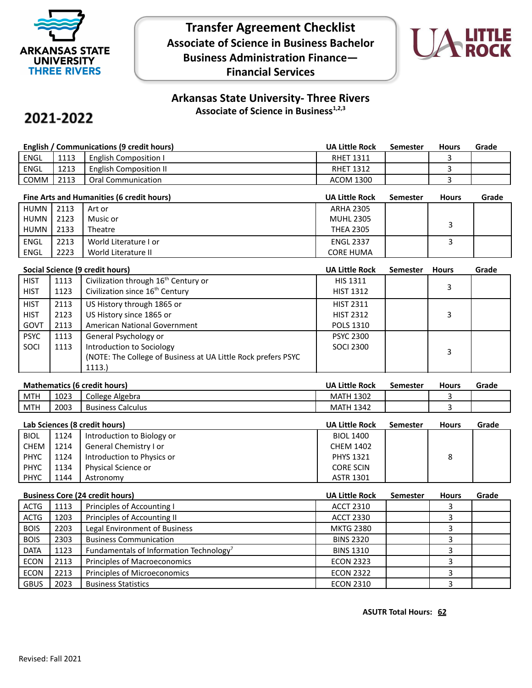

**Transfer Agreement Checklist Associate of Science in Business Bachelor Business Administration Finance— Financial Services**



## **Arkansas State University- Three Rivers Associate of Science in Business1,2,3**

## 2021-2022

| English / Communications (9 credit hours) |      |                               | <b>UA Little Rock</b> | Semester | <b>Hours</b> | Grade |
|-------------------------------------------|------|-------------------------------|-----------------------|----------|--------------|-------|
| <b>ENGL</b>                               | 1113 | <b>English Composition I</b>  | <b>RHET 1311</b>      |          |              |       |
| ENGL                                      | 1213 | <b>English Composition II</b> | <b>RHET 1312</b>      |          |              |       |
| <b>COMM</b>                               | 2113 | <b>Oral Communication</b>     | <b>ACOM 1300</b>      |          |              |       |

| Fine Arts and Humanities (6 credit hours) |      |                       | <b>UA Little Rock</b> | Semester | <b>Hours</b> | Grade |
|-------------------------------------------|------|-----------------------|-----------------------|----------|--------------|-------|
| HUMN                                      | 2113 | Art or                | <b>ARHA 2305</b>      |          |              |       |
| HUMN                                      | 2123 | Music or              | <b>MUHL 2305</b>      |          |              |       |
| HUMN                                      | 2133 | Theatre               | <b>THEA 2305</b>      |          |              |       |
| ENGL                                      | 2213 | World Literature I or | <b>ENGL 2337</b>      |          |              |       |
| ENGL                                      | 2223 | World Literature II   | <b>CORE HUMA</b>      |          |              |       |

|             | Social Science (9 credit hours) |                                                                |                  | <b>Semester</b> | <b>Hours</b> | Grade |
|-------------|---------------------------------|----------------------------------------------------------------|------------------|-----------------|--------------|-------|
| <b>HIST</b> | 1113                            | Civilization through 16 <sup>th</sup> Century or               | <b>HIS 1311</b>  |                 |              |       |
| <b>HIST</b> | 1123                            | Civilization since 16 <sup>th</sup> Century                    | <b>HIST 1312</b> |                 | 3            |       |
| <b>HIST</b> | 2113                            | US History through 1865 or                                     | <b>HIST 2311</b> |                 |              |       |
| <b>HIST</b> | 2123                            | US History since 1865 or                                       | <b>HIST 2312</b> |                 | 3            |       |
| GOVT        | 2113                            | American National Government                                   | <b>POLS 1310</b> |                 |              |       |
| <b>PSYC</b> | 1113                            | General Psychology or                                          | <b>PSYC 2300</b> |                 |              |       |
| SOCI        | 1113                            | Introduction to Sociology                                      | <b>SOCI 2300</b> |                 | 3            |       |
|             |                                 | (NOTE: The College of Business at UA Little Rock prefers PSYC) |                  |                 |              |       |
|             |                                 | 1113.)                                                         |                  |                 |              |       |

| <b>Mathematics (6 credit hours)</b> |      |                          | <b>UA Little Rock</b> | Semester | <b>Hours</b> | Grade |
|-------------------------------------|------|--------------------------|-----------------------|----------|--------------|-------|
| MTH                                 | 1023 | College Algebra          | <b>MATH 1302</b>      |          |              |       |
| <b>MTH</b>                          | 2003 | <b>Business Calculus</b> | <b>MATH 1342</b>      |          |              |       |
|                                     |      |                          |                       |          |              |       |

| Lab Sciences (8 credit hours) |      |                            | <b>UA Little Rock</b> | <b>Semester</b> | <b>Hours</b> | Grade |
|-------------------------------|------|----------------------------|-----------------------|-----------------|--------------|-------|
| <b>BIOL</b>                   | 1124 | Introduction to Biology or | <b>BIOL 1400</b>      |                 |              |       |
| CHEM                          | 1214 | General Chemistry I or     | <b>CHEM 1402</b>      |                 |              |       |
| <b>PHYC</b>                   | 1124 | Introduction to Physics or | <b>PHYS 1321</b>      |                 | 8            |       |
| <b>PHYC</b>                   | 1134 | Physical Science or        | <b>CORE SCIN</b>      |                 |              |       |
| <b>PHYC</b>                   | 1144 | Astronomy                  | <b>ASTR 1301</b>      |                 |              |       |

| <b>Business Core (24 credit hours)</b> |      |                                                     | <b>UA Little Rock</b> | <b>Semester</b> | <b>Hours</b> | Grade |
|----------------------------------------|------|-----------------------------------------------------|-----------------------|-----------------|--------------|-------|
| <b>ACTG</b>                            | 1113 | Principles of Accounting I                          | <b>ACCT 2310</b>      |                 |              |       |
| <b>ACTG</b>                            | 1203 | Principles of Accounting II                         | <b>ACCT 2330</b>      |                 |              |       |
| <b>BOIS</b>                            | 2203 | Legal Environment of Business                       | <b>MKTG 2380</b>      |                 |              |       |
| <b>BOIS</b>                            | 2303 | <b>Business Communication</b>                       | <b>BINS 2320</b>      |                 |              |       |
| <b>DATA</b>                            | 1123 | Fundamentals of Information Technology <sup>7</sup> | <b>BINS 1310</b>      |                 |              |       |
| <b>ECON</b>                            | 2113 | Principles of Macroeconomics                        | <b>ECON 2323</b>      |                 |              |       |
| <b>ECON</b>                            | 2213 | Principles of Microeconomics                        | <b>ECON 2322</b>      |                 |              |       |
| <b>GBUS</b>                            | 2023 | <b>Business Statistics</b>                          | <b>ECON 2310</b>      |                 |              |       |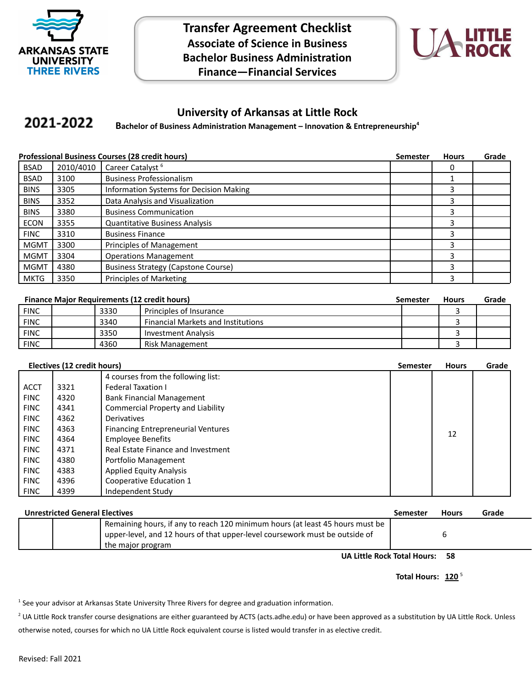

**Transfer Agreement Checklist Associate of Science in Business Bachelor Business Administration Finance—Financial Services**



## **University of Arkansas at Little Rock**

## 2021-2022 **Bachelor of Business Administration Management – Innovation & Entrepreneurship<sup>4</sup>**

|             | <b>Professional Business Courses (28 credit hours)</b> |                                            |  | <b>Hours</b> | Grade |
|-------------|--------------------------------------------------------|--------------------------------------------|--|--------------|-------|
| <b>BSAD</b> | 2010/4010                                              | Career Catalyst <sup>6</sup>               |  |              |       |
| <b>BSAD</b> | 3100                                                   | <b>Business Professionalism</b>            |  |              |       |
| <b>BINS</b> | 3305                                                   | Information Systems for Decision Making    |  | 3            |       |
| <b>BINS</b> | 3352                                                   | Data Analysis and Visualization            |  | 3            |       |
| <b>BINS</b> | 3380                                                   | <b>Business Communication</b>              |  | 3            |       |
| <b>ECON</b> | 3355                                                   | <b>Quantitative Business Analysis</b>      |  | 3            |       |
| <b>FINC</b> | 3310                                                   | <b>Business Finance</b>                    |  | 3            |       |
| <b>MGMT</b> | 3300                                                   | Principles of Management                   |  | 3            |       |
| <b>MGMT</b> | 3304                                                   | <b>Operations Management</b>               |  | 3            |       |
| <b>MGMT</b> | 4380                                                   | <b>Business Strategy (Capstone Course)</b> |  | 3            |       |
| MKTG        | 3350                                                   | Principles of Marketing                    |  | 3            |       |

|             |      | <b>Finance Major Requirements (12 credit hours)</b> | Semester | <b>Hours</b> | Grade |
|-------------|------|-----------------------------------------------------|----------|--------------|-------|
| FINC        | 3330 | Principles of Insurance                             |          |              |       |
| FINC        | 3340 | <b>Financial Markets and Institutions</b>           |          |              |       |
| <b>FINC</b> | 3350 | Investment Analysis                                 |          |              |       |
| <b>FINC</b> | 4360 | Risk Management                                     |          |              |       |

| Electives (12 credit hours) |      |                                           | <b>Semester</b> | <b>Hours</b> | Grade |
|-----------------------------|------|-------------------------------------------|-----------------|--------------|-------|
|                             |      | 4 courses from the following list:        |                 |              |       |
| <b>ACCT</b>                 | 3321 | <b>Federal Taxation I</b>                 |                 |              |       |
| <b>FINC</b>                 | 4320 | <b>Bank Financial Management</b>          |                 |              |       |
| <b>FINC</b>                 | 4341 | <b>Commercial Property and Liability</b>  |                 |              |       |
| <b>FINC</b>                 | 4362 | Derivatives                               |                 |              |       |
| <b>FINC</b>                 | 4363 | <b>Financing Entrepreneurial Ventures</b> |                 | 12           |       |
| <b>FINC</b>                 | 4364 | <b>Employee Benefits</b>                  |                 |              |       |
| <b>FINC</b>                 | 4371 | Real Estate Finance and Investment        |                 |              |       |
| <b>FINC</b>                 | 4380 | Portfolio Management                      |                 |              |       |
| <b>FINC</b>                 | 4383 | <b>Applied Equity Analysis</b>            |                 |              |       |
| <b>FINC</b>                 | 4396 | Cooperative Education 1                   |                 |              |       |
| <b>FINC</b>                 | 4399 | Independent Study                         |                 |              |       |

| <b>Unrestricted General Electives</b> |                                                                                                                                                                                   |  | <b>Hours</b> | Grade |
|---------------------------------------|-----------------------------------------------------------------------------------------------------------------------------------------------------------------------------------|--|--------------|-------|
|                                       | Remaining hours, if any to reach 120 minimum hours (at least 45 hours must be<br>upper-level, and 12 hours of that upper-level coursework must be outside of<br>the major program |  |              |       |

**UA Little Rock Total Hours: 58**

Total Hours: 120<sup>5</sup>

<sup>1</sup> See your advisor at Arkansas State University Three Rivers for degree and graduation information.

<sup>2</sup> UA Little Rock transfer course designations are either guaranteed by ACTS (acts.adhe.edu) or have been approved as a substitution by UA Little Rock. Unless otherwise noted, courses for which no UA Little Rock equivalent course is listed would transfer in as elective credit.